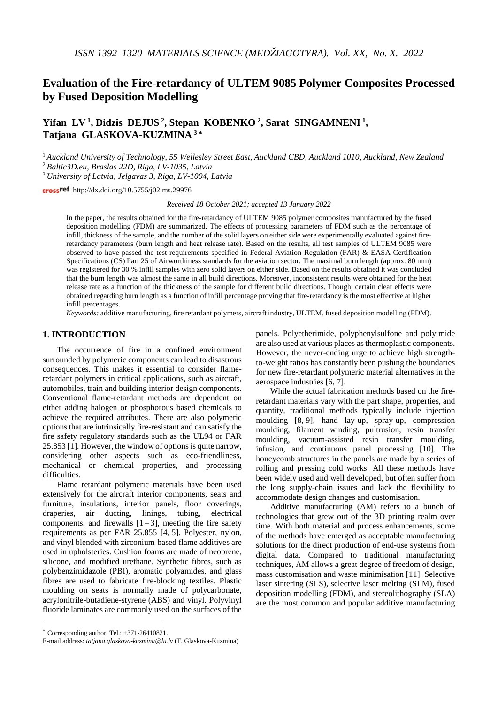# **Evaluation of the Fire-retardancy of ULTEM 9085 Polymer Composites Processed by Fused Deposition Modelling**

# **Yifan LV 1, Didzis DEJUS 2, Stepan KOBENKO 2, Sarat SINGAMNENI 1, Tatjana GLASKOVA-KUZMINA <sup>3</sup>** <sup>∗</sup>

<sup>1</sup> *Auckland University of Technology, 55 Wellesley Street East, Auckland CBD, Auckland 1010, Auckland, New Zealand* <sup>2</sup> *Baltic3D.eu, Braslas 22D, Riga, LV-1035, Latvia*

<sup>3</sup> *University of Latvia, Jelgavas 3, Riga, LV-1004, Latvia*

http://dx.doi.org/10.5755/j02.ms.29976

*Received 18 October 2021; accepted 13 January 2022*

In the paper, the results obtained for the fire-retardancy of ULTEM 9085 polymer composites manufactured by the fused deposition modelling (FDM) are summarized. The effects of processing parameters of FDM such as the percentage of infill, thickness of the sample, and the number of the solid layers on either side were experimentally evaluated against fireretardancy parameters (burn length and heat release rate). Based on the results, all test samples of ULTEM 9085 were observed to have passed the test requirements specified in Federal Aviation Regulation (FAR) & EASA Certification Specifications (CS) Part 25 of Airworthiness standards for the aviation sector. The maximal burn length (approx. 80 mm) was registered for 30 % infill samples with zero solid layers on either side. Based on the results obtained it was concluded that the burn length was almost the same in all build directions. Moreover, inconsistent results were obtained for the heat release rate as a function of the thickness of the sample for different build directions. Though, certain clear effects were obtained regarding burn length as a function of infill percentage proving that fire-retardancy is the most effective at higher infill percentages.

*Keywords:* additive manufacturing, fire retardant polymers, aircraft industry, ULTEM, fused deposition modelling (FDM).

# **1. INTRODUCTION**[∗](#page-0-0)

The occurrence of fire in a confined environment surrounded by polymeric components can lead to disastrous consequences. This makes it essential to consider flameretardant polymers in critical applications, such as aircraft, automobiles, train and building interior design components. Conventional flame-retardant methods are dependent on either adding halogen or phosphorous based chemicals to achieve the required attributes. There are also polymeric options that are intrinsically fire-resistant and can satisfy the fire safety regulatory standards such as the UL94 or FAR 25.853 [\[1\]](#page-6-0). However, the window of options is quite narrow, considering other aspects such as eco-friendliness, mechanical or chemical properties, and processing difficulties.

Flame retardant polymeric materials have been used extensively for the aircraft interior components, seats and furniture, insulations, interior panels, floor coverings, draperies, air ducting, linings, tubing, electrical components, and firewalls  $[1-3]$  $[1-3]$  $[1-3]$ , meeting the fire safety requirements as per FAR 25.855 [\[4,](#page-6-2) [5\]](#page-6-3). Polyester, nylon, and vinyl blended with zirconium-based flame additives are used in upholsteries. Cushion foams are made of neoprene, silicone, and modified urethane. Synthetic fibres, such as polybenzimidazole (PBI), aromatic polyamides, and glass fibres are used to fabricate fire-blocking textiles. Plastic moulding on seats is normally made of polycarbonate, acrylonitrile-butadiene-styrene (ABS) and vinyl. Polyvinyl fluoride laminates are commonly used on the surfaces of the

<u>.</u>

panels. Polyetherimide, polyphenylsulfone and polyimide are also used at various places as thermoplastic components. However, the never-ending urge to achieve high strengthto-weight ratios has constantly been pushing the boundaries for new fire-retardant polymeric material alternatives in the aerospace industries [\[6,](#page-6-4) [7\]](#page-6-5).

While the actual fabrication methods based on the fireretardant materials vary with the part shape, properties, and quantity, traditional methods typically include injection moulding [\[8,](#page-6-6) [9\]](#page-6-7), hand lay-up, spray-up, compression moulding, filament winding, pultrusion, resin transfer moulding, vacuum-assisted resin transfer moulding, infusion, and continuous panel processing [\[10\]](#page-6-8). The honeycomb structures in the panels are made by a series of rolling and pressing cold works. All these methods have been widely used and well developed, but often suffer from the long supply-chain issues and lack the flexibility to accommodate design changes and customisation.

Additive manufacturing (AM) refers to a bunch of technologies that grew out of the 3D printing realm over time. With both material and process enhancements, some of the methods have emerged as acceptable manufacturing solutions for the direct production of end-use systems from digital data. Compared to traditional manufacturing techniques, AM allows a great degree of freedom of design, mass customisation and waste minimisation [\[11\]](#page-6-9). Selective laser sintering (SLS), selective laser melting (SLM), fused deposition modelling (FDM), and stereolithography (SLA) are the most common and popular additive manufacturing

<span id="page-0-0"></span><sup>∗</sup> Corresponding author. Tel.: +371-26410821.

E-mail address: *tatjana.glaskova-kuzmina@lu.lv* (T. Glaskova-Kuzmina)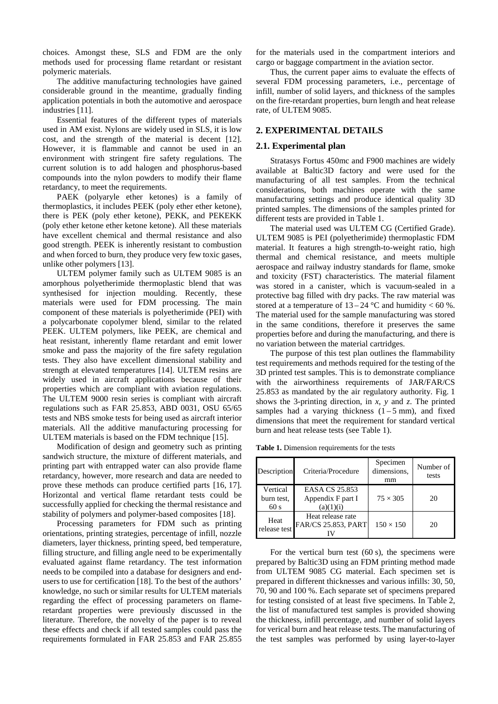choices. Amongst these, SLS and FDM are the only methods used for processing flame retardant or resistant polymeric materials.

The additive manufacturing technologies have gained considerable ground in the meantime, gradually finding application potentials in both the automotive and aerospace industries [\[11\]](#page-6-9).

Essential features of the different types of materials used in AM exist. Nylons are widely used in SLS, it is low cost, and the strength of the material is decent [\[12\]](#page-6-10). However, it is flammable and cannot be used in an environment with stringent fire safety regulations. The current solution is to add halogen and phosphorus-based compounds into the nylon powders to modify their flame retardancy, to meet the requirements.

PAEK (polyaryle ether ketones) is a family of thermoplastics, it includes PEEK (poly ether ether ketone), there is PEK (poly ether ketone), PEKK, and PEKEKK (poly ether ketone ether ketone ketone). All these materials have excellent chemical and thermal resistance and also good strength. PEEK is inherently resistant to combustion and when forced to burn, they produce very few toxic gases, unlike other polymers [\[13\]](#page-6-11).

ULTEM polymer family such as ULTEM 9085 is an amorphous polyetherimide thermoplastic blend that was synthesised for injection moulding. Recently, these materials were used for FDM processing. The main component of these materials is polyetherimide (PEI) with a polycarbonate copolymer blend, similar to the related PEEK. ULTEM polymers, like PEEK, are chemical and heat resistant, inherently flame retardant and emit lower smoke and pass the majority of the fire safety regulation tests. They also have excellent dimensional stability and strength at elevated temperatures [\[14\]](#page-6-12). ULTEM resins are widely used in aircraft applications because of their properties which are compliant with aviation regulations. The ULTEM 9000 resin series is compliant with aircraft regulations such as FAR 25.853, ABD 0031, OSU 65/65 tests and NBS smoke tests for being used as aircraft interior materials. All the additive manufacturing processing for ULTEM materials is based on the FDM technique [\[15\]](#page-6-13).

Modification of design and geometry such as printing sandwich structure, the mixture of different materials, and printing part with entrapped water can also provide flame retardancy, however, more research and data are needed to prove these methods can produce certified parts [\[16,](#page-6-14) [17\]](#page-6-15). Horizontal and vertical flame retardant tests could be successfully applied for checking the thermal resistance and stability of polymers and polymer-based composites [\[18\]](#page-6-16).

Processing parameters for FDM such as printing orientations, printing strategies, percentage of infill, nozzle diameters, layer thickness, printing speed, bed temperature, filling structure, and filling angle need to be experimentally evaluated against flame retardancy. The test information needs to be compiled into a database for designers and endusers to use for certification [\[18\]](#page-6-16). To the best of the authors' knowledge, no such or similar results for ULTEM materials regarding the effect of processing parameters on flameretardant properties were previously discussed in the literature. Therefore, the novelty of the paper is to reveal these effects and check if all tested samples could pass the requirements formulated in FAR 25.853 and FAR 25.855

for the materials used in the compartment interiors and cargo or baggage compartment in the aviation sector.

Thus, the current paper aims to evaluate the effects of several FDM processing parameters, i.e., percentage of infill, number of solid layers, and thickness of the samples on the fire-retardant properties, burn length and heat release rate, of ULTEM 9085.

### **2. EXPERIMENTAL DETAILS**

#### **2.1. Experimental plan**

Stratasys Fortus 450mc and F900 machines are widely available at Baltic3D factory and were used for the manufacturing of all test samples. From the technical considerations, both machines operate with the same manufacturing settings and produce identical quality 3D printed samples. The dimensions of the samples printed for different tests are provided in Table 1.

The material used was ULTEM CG (Certified Grade). ULTEM 9085 is PEI (polyetherimide) thermoplastic FDM material. It features a high strength-to-weight ratio, high thermal and chemical resistance, and meets multiple aerospace and railway industry standards for flame, smoke and toxicity (FST) characteristics. The material filament was stored in a canister, which is vacuum-sealed in a protective bag filled with dry packs. The raw material was stored at a temperature of  $13 - 24$  °C and humidity < 60 %. The material used for the sample manufacturing was stored in the same conditions, therefore it preserves the same properties before and during the manufacturing, and there is no variation between the material cartridges.

The purpose of this test plan outlines the flammability test requirements and methods required for the testing of the 3D printed test samples. This is to demonstrate compliance with the airworthiness requirements of JAR/FAR/CS 25.853 as mandated by the air regulatory authority. Fig. 1 shows the 3-printing direction, in *x*, *y* and *z*. The printed samples had a varying thickness  $(1 - 5)$  mm, and fixed dimensions that meet the requirement for standard vertical burn and heat release tests (see Table 1).

**Table 1.** Dimension requirements for the tests

| Description                   | Criteria/Procedure                               | Specimen<br>dimensions.<br>mm | Number of<br>tests |
|-------------------------------|--------------------------------------------------|-------------------------------|--------------------|
| Vertical<br>burn test,<br>60s | EASA CS 25.853<br>Appendix F part I<br>(a)(1)(i) | $75 \times 305$               | 20                 |
| Heat<br>release test          | Heat release rate<br><b>FAR/CS 25.853, PART</b>  | $150 \times 150$              | 20                 |

For the vertical burn test  $(60 s)$ , the specimens were prepared by Baltic3D using an FDM printing method made from ULTEM 9085 CG material. Each specimen set is prepared in different thicknesses and various infills: 30, 50, 70, 90 and 100 %. Each separate set of specimens prepared for testing consisted of at least five specimens. In Table 2, the list of manufactured test samples is provided showing the thickness, infill percentage, and number of solid layers for verical burn and heat release tests. The manufacturing of the test samples was performed by using layer-to-layer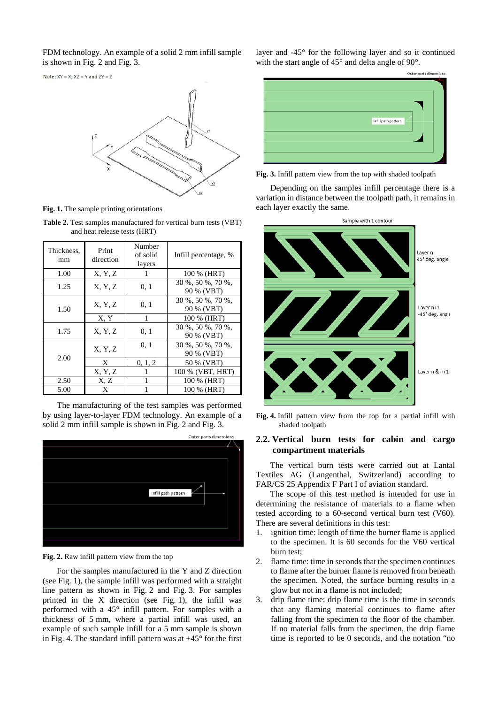FDM technology. An example of a solid 2 mm infill sample is shown in Fig. 2 and Fig. 3.

Note:  $XY = X$ ;  $XZ = Y$  and  $ZY = Z$ 



**Fig. 1.** The sample printing orientations

**Table 2.** Test samples manufactured for vertical burn tests (VBT) and heat release tests (HRT)

| Thickness,<br>mm | Print<br>direction | Number<br>of solid<br>layers | Infill percentage, %            |
|------------------|--------------------|------------------------------|---------------------------------|
| 1.00             | X, Y, Z            | 1                            | 100 % (HRT)                     |
| 1.25             | X, Y, Z            | 0, 1                         | 30 %, 50 %, 70 %,<br>90 % (VBT) |
| 1.50             | X, Y, Z            | 0, 1                         | 30 %, 50 %, 70 %,<br>90 % (VBT) |
|                  | X, Y               | 1                            | 100 % (HRT)                     |
| 1.75             | X, Y, Z            | 0, 1                         | 30 %, 50 %, 70 %,<br>90 % (VBT) |
| 2.00             | X, Y, Z            | 0, 1                         | 30 %, 50 %, 70 %,<br>90 % (VBT) |
|                  | X                  | 0, 1, 2                      | 50 % (VBT)                      |
|                  | X, Y, Z            | 1                            | 100 % (VBT, HRT)                |
| 2.50             | X, Z               |                              | 100 % (HRT)                     |
| 5.00             | X                  |                              | 100 % (HRT)                     |

The manufacturing of the test samples was performed by using layer-to-layer FDM technology. An example of a solid 2 mm infill sample is shown in Fig. 2 and Fig. 3.



**Fig. 2.** Raw infill pattern view from the top

For the samples manufactured in the Y and Z direction (see Fig. 1), the sample infill was performed with a straight line pattern as shown in Fig. 2 and Fig. 3. For samples printed in the  $X$  direction (see Fig. 1), the infill was performed with a 45° infill pattern. For samples with a thickness of 5 mm, where a partial infill was used, an example of such sample infill for a 5 mm sample is shown in Fig. 4. The standard infill pattern was at  $+45^{\circ}$  for the first layer and -45° for the following layer and so it continued with the start angle of 45° and delta angle of 90°.



**Fig. 3.** Infill pattern view from the top with shaded toolpath

Depending on the samples infill percentage there is a variation in distance between the toolpath path, it remains in each layer exactly the same.



**Fig. 4.** Infill pattern view from the top for a partial infill with shaded toolpath

# **2.2. Vertical burn tests for cabin and cargo compartment materials**

The vertical burn tests were carried out at Lantal Textiles AG (Langenthal, Switzerland) according to FAR/CS 25 Appendix F Part I of aviation standard.

The scope of this test method is intended for use in determining the resistance of materials to a flame when tested according to a 60-second vertical burn test (V60). There are several definitions in this test:

- 1. ignition time: length of time the burner flame is applied to the specimen. It is 60 seconds for the V60 vertical burn test;
- 2. flame time: time in seconds that the specimen continues to flame after the burner flame is removed from beneath the specimen. Noted, the surface burning results in a glow but not in a flame is not included;
- 3. drip flame time: drip flame time is the time in seconds that any flaming material continues to flame after falling from the specimen to the floor of the chamber. If no material falls from the specimen, the drip flame time is reported to be 0 seconds, and the notation "no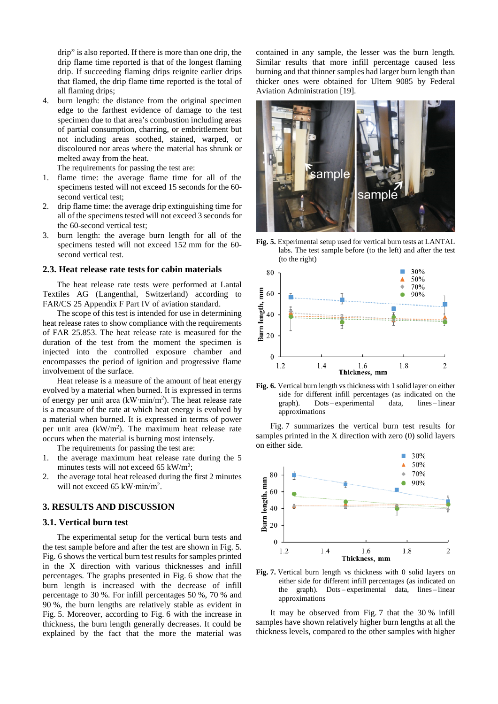drip" is also reported. If there is more than one drip, the drip flame time reported is that of the longest flaming drip. If succeeding flaming drips reignite earlier drips that flamed, the drip flame time reported is the total of all flaming drips;

4. burn length: the distance from the original specimen edge to the farthest evidence of damage to the test specimen due to that area's combustion including areas of partial consumption, charring, or embrittlement but not including areas soothed, stained, warped, or discoloured nor areas where the material has shrunk or melted away from the heat.

The requirements for passing the test are:

- 1. flame time: the average flame time for all of the specimens tested will not exceed 15 seconds for the 60 second vertical test;
- 2. drip flame time: the average drip extinguishing time for all of the specimens tested will not exceed 3 seconds for the 60-second vertical test;
- 3. burn length: the average burn length for all of the specimens tested will not exceed 152 mm for the 60 second vertical test.

#### **2.3. Heat release rate tests for cabin materials**

The heat release rate tests were performed at Lantal Textiles AG (Langenthal, Switzerland) according to FAR/CS 25 Appendix F Part IV of aviation standard.

The scope of this test is intended for use in determining heat release rates to show compliance with the requirements of FAR 25.853. The heat release rate is measured for the duration of the test from the moment the specimen is injected into the controlled exposure chamber and encompasses the period of ignition and progressive flame involvement of the surface.

Heat release is a measure of the amount of heat energy evolved by a material when burned. It is expressed in terms of energy per unit area (kW∙min/m<sup>2</sup> ). The heat release rate is a measure of the rate at which heat energy is evolved by a material when burned. It is expressed in terms of power per unit area (kW/m<sup>2</sup>). The maximum heat release rate occurs when the material is burning most intensely.

The requirements for passing the test are:

- 1. the average maximum heat release rate during the 5 minutes tests will not exceed 65 kW/m<sup>2</sup>;
- 2. the average total heat released during the first 2 minutes will not exceed 65 kW∙min/m<sup>2</sup> .

#### **3. RESULTS AND DISCUSSION**

#### **3.1. Vertical burn test**

The experimental setup for the vertical burn tests and the test sample before and after the test are shown in Fig. 5. Fig. 6 shows the vertical burn test results for samples printed in the X direction with various thicknesses and infill percentages. The graphs presented in Fig. 6 show that the burn length is increased with the decrease of infill percentage to 30 %. For infill percentages 50 %, 70 % and 90 %, the burn lengths are relatively stable as evident in Fig. 5. Moreover, according to Fig. 6 with the increase in thickness, the burn length generally decreases. It could be explained by the fact that the more the material was contained in any sample, the lesser was the burn length. Similar results that more infill percentage caused less burning and that thinner samples had larger burn length than thicker ones were obtained for Ultem 9085 by Federal Aviation Administration [\[19\]](#page-6-17).



**Fig. 5.** Experimental setup used for vertical burn tests at LANTAL labs. The test sample before (to the left) and after the test (to the right)



**Fig. 6.** Vertical burn length vs thickness with 1 solid layer on either side for different infill percentages (as indicated on the graph). Dots – experimental data, lines – linear approximations

Fig. 7 summarizes the vertical burn test results for samples printed in the X direction with zero (0) solid layers on either side.



**Fig. 7.** Vertical burn length vs thickness with 0 solid layers on either side for different infill percentages (as indicated on the graph). Dots-experimental data, lines-linear approximations

It may be observed from Fig. 7 that the 30 % infill samples have shown relatively higher burn lengths at all the thickness levels, compared to the other samples with higher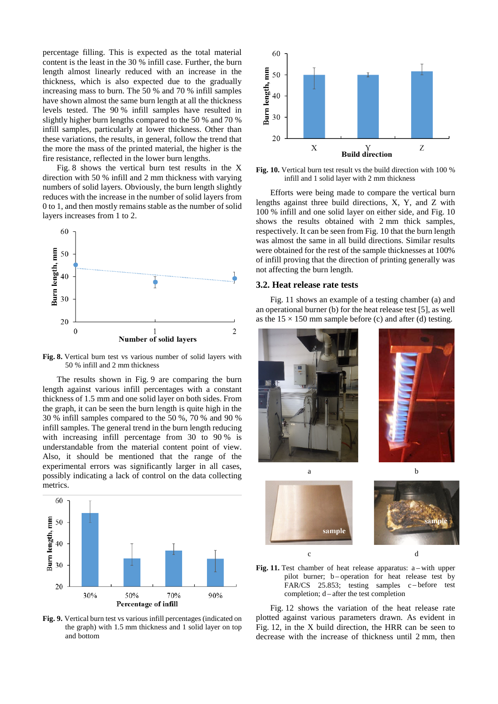percentage filling. This is expected as the total material content is the least in the 30 % infill case. Further, the burn length almost linearly reduced with an increase in the thickness, which is also expected due to the gradually increasing mass to burn. The 50 % and 70 % infill samples have shown almost the same burn length at all the thickness levels tested. The 90 % infill samples have resulted in slightly higher burn lengths compared to the 50 % and 70 % infill samples, particularly at lower thickness. Other than these variations, the results, in general, follow the trend that the more the mass of the printed material, the higher is the fire resistance, reflected in the lower burn lengths.

Fig. 8 shows the vertical burn test results in the X direction with 50 % infill and 2 mm thickness with varying numbers of solid layers. Obviously, the burn length slightly reduces with the increase in the number of solid layers from 0 to 1, and then mostly remains stable as the number of solid layers increases from 1 to 2.



**Fig. 8.** Vertical burn test vs various number of solid layers with 50 % infill and 2 mm thickness

The results shown in Fig. 9 are comparing the burn length against various infill percentages with a constant thickness of 1.5 mm and one solid layer on both sides. From the graph, it can be seen the burn length is quite high in the 30 % infill samples compared to the 50 %, 70 % and 90 % infill samples. The general trend in the burn length reducing with increasing infill percentage from 30 to 90 % is understandable from the material content point of view. Also, it should be mentioned that the range of the experimental errors was significantly larger in all cases, possibly indicating a lack of control on the data collecting metrics.



**Fig. 9.** Vertical burn test vs various infill percentages (indicated on the graph) with 1.5 mm thickness and 1 solid layer on top and bottom



**Fig. 10.** Vertical burn test result vs the build direction with 100 % infill and 1 solid layer with 2 mm thickness

Efforts were being made to compare the vertical burn lengths against three build directions, X, Y, and Z with 100 % infill and one solid layer on either side, and Fig. 10 shows the results obtained with 2 mm thick samples, respectively. It can be seen from Fig. 10 that the burn length was almost the same in all build directions. Similar results were obtained for the rest of the sample thicknesses at 100% of infill proving that the direction of printing generally was not affecting the burn length.

#### **3.2. Heat release rate tests**

Fig. 11 shows an example of a testing chamber (a) and an operational burner (b) for the heat release test [\[5\]](#page-6-3), as well as the  $15 \times 150$  mm sample before (c) and after (d) testing.





Fig. 12 shows the variation of the heat release rate plotted against various parameters drawn. As evident in Fig. 12, in the X build direction, the HRR can be seen to decrease with the increase of thickness until 2 mm, then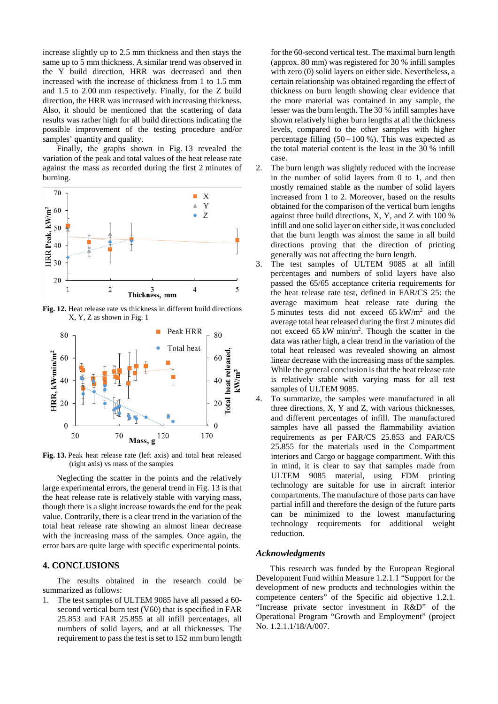increase slightly up to 2.5 mm thickness and then stays the same up to 5 mm thickness. A similar trend was observed in the Y build direction, HRR was decreased and then increased with the increase of thickness from 1 to 1.5 mm and 1.5 to 2.00 mm respectively. Finally, for the Z build direction, the HRR was increased with increasing thickness. Also, it should be mentioned that the scattering of data results was rather high for all build directions indicating the possible improvement of the testing procedure and/or samples' quantity and quality.

Finally, the graphs shown in Fig. 13 revealed the variation of the peak and total values of the heat release rate against the mass as recorded during the first 2 minutes of burning.



**Fig. 12.** Heat release rate vs thickness in different build directions X, Y, Z as shown in Fig. 1



**Fig. 13.** Peak heat release rate (left axis) and total heat released (right axis) vs mass of the samples

Neglecting the scatter in the points and the relatively large experimental errors, the general trend in Fig. 13 is that the heat release rate is relatively stable with varying mass, though there is a slight increase towards the end for the peak value. Contrarily, there is a clear trend in the variation of the total heat release rate showing an almost linear decrease with the increasing mass of the samples. Once again, the error bars are quite large with specific experimental points.

#### **4. CONCLUSIONS**

The results obtained in the research could be summarized as follows:

1. The test samples of ULTEM 9085 have all passed a 60 second vertical burn test (V60) that is specified in FAR 25.853 and FAR 25.855 at all infill percentages, all numbers of solid layers, and at all thicknesses. The requirement to pass the test is set to 152 mm burn length

for the 60-second vertical test. The maximal burn length (approx. 80 mm) was registered for 30 % infill samples with zero (0) solid layers on either side. Nevertheless, a certain relationship was obtained regarding the effect of thickness on burn length showing clear evidence that the more material was contained in any sample, the lesser was the burn length. The 30 % infill samples have shown relatively higher burn lengths at all the thickness levels, compared to the other samples with higher percentage filling  $(50 - 100 \%)$ . This was expected as the total material content is the least in the 30 % infill case.

- 2. The burn length was slightly reduced with the increase in the number of solid layers from 0 to 1, and then mostly remained stable as the number of solid layers increased from 1 to 2. Moreover, based on the results obtained for the comparison of the vertical burn lengths against three build directions, X, Y, and Z with 100 % infill and one solid layer on either side, it was concluded that the burn length was almost the same in all build directions proving that the direction of printing generally was not affecting the burn length.
- 3. The test samples of ULTEM 9085 at all infill percentages and numbers of solid layers have also passed the 65/65 acceptance criteria requirements for the heat release rate test, defined in FAR/CS 25: the average maximum heat release rate during the 5 minutes tests did not exceed  $65 \text{ kW/m}^2$  and the average total heat released during the first 2 minutes did not exceed  $65 \text{ kW min/m}^2$ . Though the scatter in the data was rather high, a clear trend in the variation of the total heat released was revealed showing an almost linear decrease with the increasing mass of the samples. While the general conclusion is that the heat release rate is relatively stable with varying mass for all test samples of ULTEM 9085.
- 4. To summarize, the samples were manufactured in all three directions, X, Y and Z, with various thicknesses, and different percentages of infill. The manufactured samples have all passed the flammability aviation requirements as per FAR/CS 25.853 and FAR/CS 25.855 for the materials used in the Compartment interiors and Cargo or baggage compartment. With this in mind, it is clear to say that samples made from ULTEM 9085 material, using FDM printing technology are suitable for use in aircraft interior compartments. The manufacture of those parts can have partial infill and therefore the design of the future parts can be minimized to the lowest manufacturing technology requirements for additional weight reduction.

#### *Acknowledgments*

This research was funded by the European Regional Development Fund within Measure 1.2.1.1 "Support for the development of new products and technologies within the competence centers" of the Specific aid objective 1.2.1. "Increase private sector investment in R&D" of the Operational Program "Growth and Employment" (project No. 1.2.1.1/18/A/007.